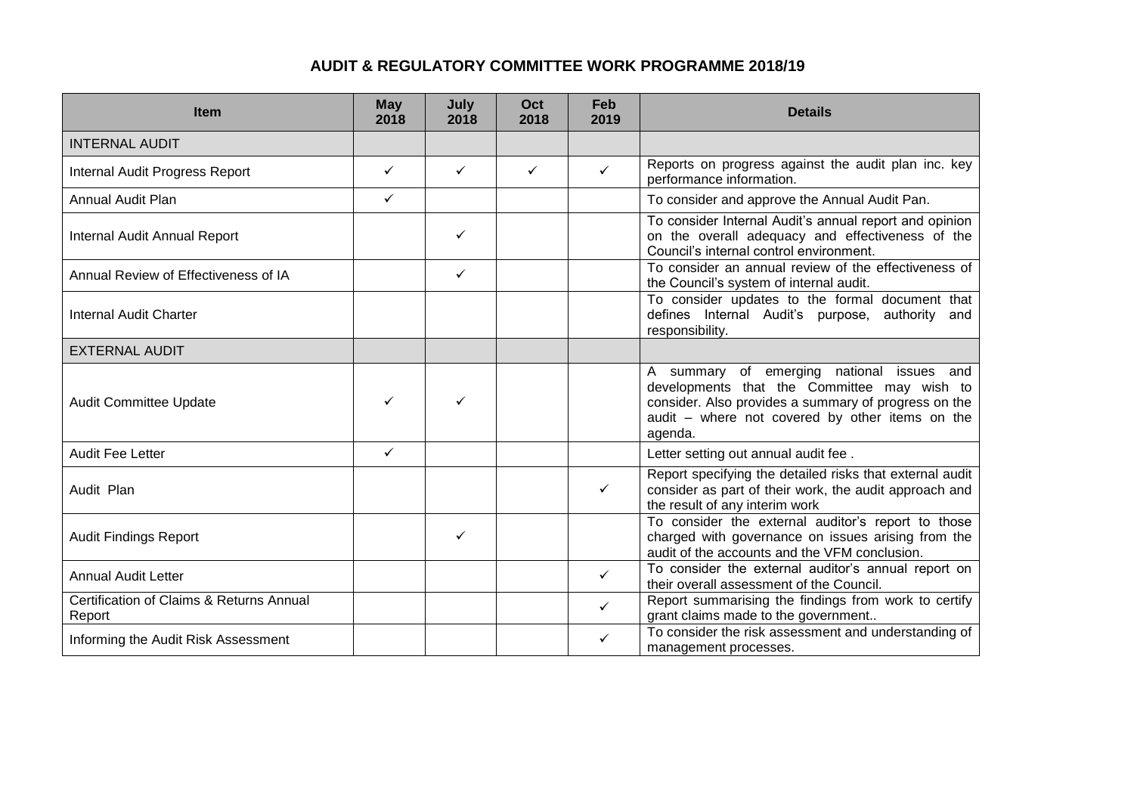## **AUDIT & REGULATORY COMMITTEE WORK PROGRAMME 2018/19**

| <b>Item</b>                                        | <b>May</b><br>2018 | July<br>2018 | Oct<br>2018  | Feb<br>2019  | <b>Details</b>                                                                                                                                                                                                 |
|----------------------------------------------------|--------------------|--------------|--------------|--------------|----------------------------------------------------------------------------------------------------------------------------------------------------------------------------------------------------------------|
| <b>INTERNAL AUDIT</b>                              |                    |              |              |              |                                                                                                                                                                                                                |
| Internal Audit Progress Report                     | $\checkmark$       | $\checkmark$ | $\checkmark$ | $\checkmark$ | Reports on progress against the audit plan inc. key<br>performance information.                                                                                                                                |
| Annual Audit Plan                                  | $\checkmark$       |              |              |              | To consider and approve the Annual Audit Pan.                                                                                                                                                                  |
| Internal Audit Annual Report                       |                    | ✓            |              |              | To consider Internal Audit's annual report and opinion<br>on the overall adequacy and effectiveness of the<br>Council's internal control environment.                                                          |
| Annual Review of Effectiveness of IA               |                    | $\checkmark$ |              |              | To consider an annual review of the effectiveness of<br>the Council's system of internal audit.                                                                                                                |
| <b>Internal Audit Charter</b>                      |                    |              |              |              | To consider updates to the formal document that<br>defines Internal Audit's purpose, authority and<br>responsibility.                                                                                          |
| <b>EXTERNAL AUDIT</b>                              |                    |              |              |              |                                                                                                                                                                                                                |
| <b>Audit Committee Update</b>                      | ✓                  | ✓            |              |              | A summary of emerging national issues and<br>developments that the Committee may wish to<br>consider. Also provides a summary of progress on the<br>audit - where not covered by other items on the<br>agenda. |
| <b>Audit Fee Letter</b>                            | $\checkmark$       |              |              |              | Letter setting out annual audit fee.                                                                                                                                                                           |
| Audit Plan                                         |                    |              |              | ✓            | Report specifying the detailed risks that external audit<br>consider as part of their work, the audit approach and<br>the result of any interim work                                                           |
| <b>Audit Findings Report</b>                       |                    | $\checkmark$ |              |              | To consider the external auditor's report to those<br>charged with governance on issues arising from the<br>audit of the accounts and the VFM conclusion.                                                      |
| <b>Annual Audit Letter</b>                         |                    |              |              | $\checkmark$ | To consider the external auditor's annual report on<br>their overall assessment of the Council.                                                                                                                |
| Certification of Claims & Returns Annual<br>Report |                    |              |              | $\checkmark$ | Report summarising the findings from work to certify<br>grant claims made to the government                                                                                                                    |
| Informing the Audit Risk Assessment                |                    |              |              | ✓            | To consider the risk assessment and understanding of<br>management processes.                                                                                                                                  |